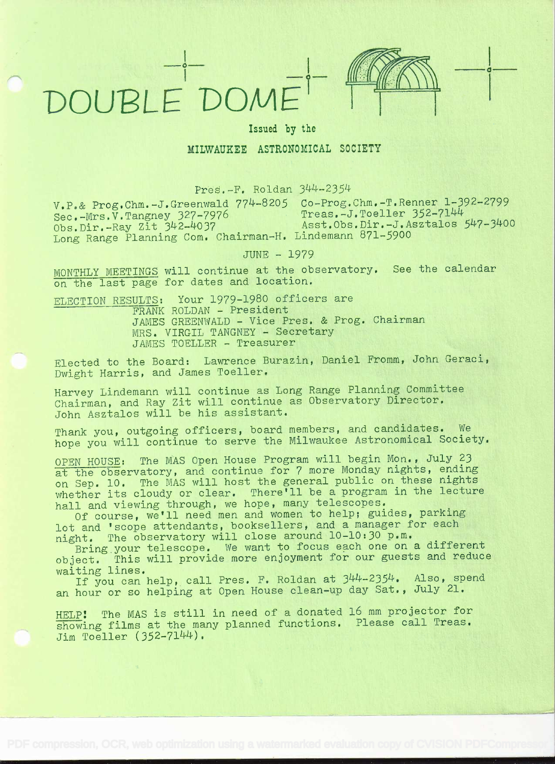

Issued by the

## MILWAUKEE ASTRONOMICAL SOCIETY

Pres.-F. Roldan 344-2354

 $V.P.E.$  Prog.Chm.-J.Greenwald  $774-8205$  Co-Prog.Chm.-T.Renner 1-392-2799<br>Sec.  $Mrs$ , Tangney 327-7976 Treas.-J.Toeller 352-7144 Long Range Planning Com. Chairman-H. Lindemann 871-5900

Sec.-Mrs.V.Tangney 327-7976 Treas.-J.Toeller 352-7144<br>Obs.Dir.-Ray Zit 342-4037 Asst.Obs.Dir.-J.Asztalos 547-3400 Obs.Dir.-Ray Zit 342-4037 Asst.Obs.Dir.-J.Asztalos 547-3400

JUNE - 1979

MONTHLY MEETINGS will continue at the observatory. See the calendar on the last page for dates and location.

ELECTION RESULTS: Your 1979-1980 officers are FRANK ROLDAN - President JAMES GREENWALD - Vice Pres. & Frog. Chairman MRS. VIRGIL TANGNEY - Secretary JAMES TOELLER - Treasurer

Elected to the Board: Lawrence Burazin, Daniel Fromm, John Geraci, Dwight Harris, and James Toeller.

Harvey Lindemann will continue as Long Range Planning Committee Chairman, and Ray Zit will continue as Observatory Director, John Asztalos will be his assistant.

Thank you, outgoing officers, board members, and candidates. We hope you will continue to serve the Milwaukee Astronomical Society.

OPEN HOUSE: The MAS Open House Program will begin Mon. , July 23 at the observatory, and continue for 7 more Monday nights, ending on Sep. 10. The MAS will host the general public on these nights whether its cloudy or clear. There'll be a program in the lecture hall and viewing through, we hope, many telescopes.

Of course, we'll need men and women to help; guides, parking lot and 'scope attendants, booksellers, and a manager for each night. The observatory will close around 10-10:30 p.m.

Bring your telescope. We want to focus each one on a different object. This will provide more enjoyment for our guests and reduce

waiting lines.<br>If you can help, call Pres. F. Roldan at 344-2354. Also, spend an hour or so helping at Open House clean-up day Sat., July 21,

HELP! The MAS is still in need of a donated 16 mm projector for showing films at the many planned functions. Please call Treas. Jim Toeller (352-7144).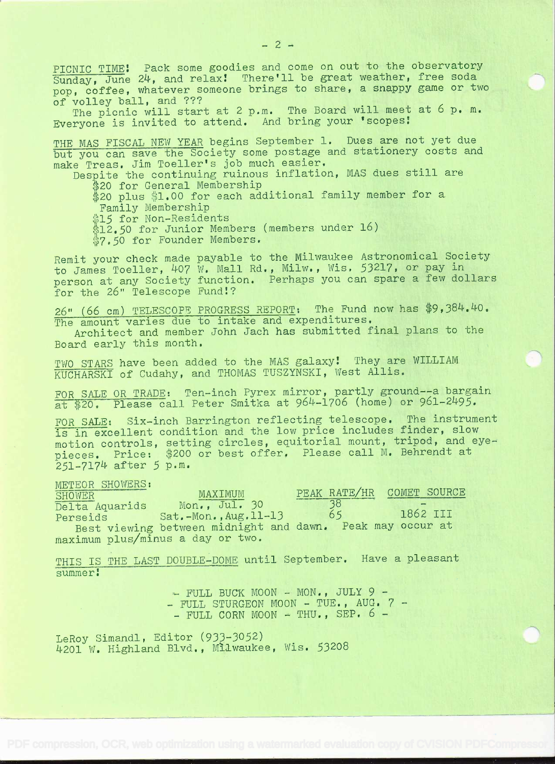PICNIC TIME! Pack some goodies and come on out to the observatory Sunday, June 24, and relax! There'll be great weather, free soda pop, coffee, whatever someone brings to share, a snappy game or two of volley ball, and ???

The picnic will start at 2 p.m. The Board will meet at 6 p.m. Everyone is invited to attend. And bring your 'scopes!

THE MAS FISCAL NEW YEAR begins September 1. Dues are not yet due but you can save the Society some postage and stationery costs and make Treas. Jim Toeller's job much easier,

Despite the continuing ruinous inflation, MAS dues still are \$20 for General Membership

\$20 plus \$1.00 for each additional family member for a<br>Family Membership

\$15 for Non-Residents

\$12.50 for Junior Members (members under 16)

\$7.50 for Founder Members.

Remit your check made payable to the Milwaukee Astronomical Society Remit your check made payable to the milkeenes for a pay in the James Toeller, 407 W. Mall Rd., Milw., Wis. 53217, or pay in person at any Society function. Perhaps you can spare a few dollars for the 26" Telescope Fund!?

26" (66 cm) TELESCOPE PROGRESS REPORT: The Fund now has \$9,384.40.<br>The amount varies due to intake and expenditures.

Architect and member John Jach has submitted final plans to the Board early this month.

TWO STARS have been added to the MAS galaxy! They are WILLIAM KUCHARSKI of Cudahy, and THOMAS TUSZYNSKI, West Allis.

FOR SALE OR TRADE: Ten-inch Pyrex mirror, partly ground--a bargain at \$20. Please call Peter Smitka at 964-1706 (home) or 961-2495.

FOR SALE: Six-inch Barrington reflecting telescope. The instrument is in excellent condition and the low price includes finder, slow motion controls, setting circles, equitorial mount, tripod, and eyepieces. Price: \$200 or best offer. Please call M. Behrendt at  $251 - 7174$  after  $5$  p.m.

METEOR SHOWERS:<br>SHOWER PEAK RATE/HR SHOWER MAXIMUM PEAK RANGELON MAXIMUM Delta Aquarids Mon., Jul. 30 38<br>Perseids Sat.-Mon., Aug.11-13 65 Perseids Sat.-Mon., Aug. 11-13 65 Best viewing between midnight and dawn. Peak may occur at maximum plus/minus a day or two. COMET SOURCE 1862 III

THIS IS THE LAST DOUBLE-DOME until September. Have a pleasant summer

- FULL BUCK MOON - MON., JULY 9 -<br>- FULL STURGEON MOON - TUE., AUG. 7 -<br>- FULL CORN MOON - THU., SEP. 6 -

LeRoy Simandl, Editor (933-3052) 4201 W. Highland Blvd., Milwaukee, Wis. 53208